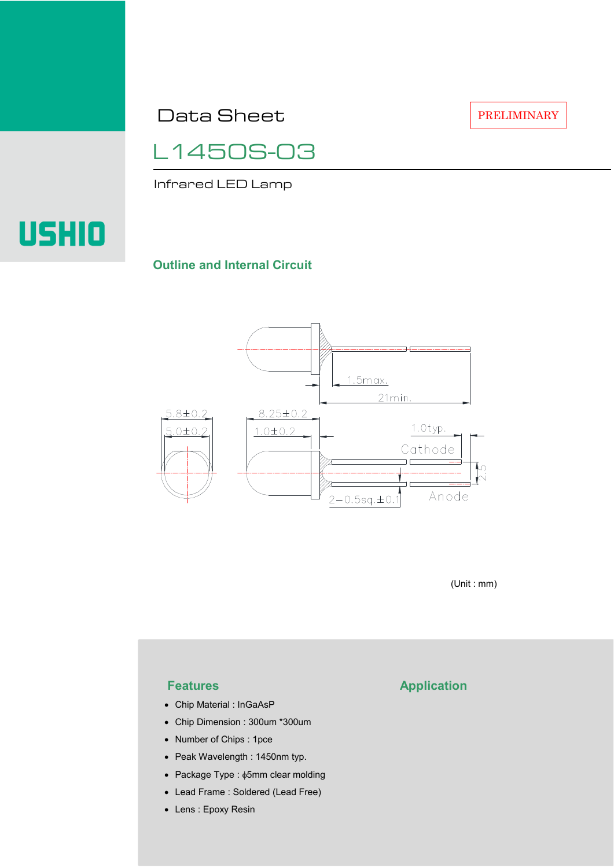Data Sheet

PRELIMINARY

L1450S-03

Infrared LED Lamp

# USHIO

#### **Outline and Internal Circuit**



(Unit : mm)

- Chip Material : InGaAsP
- Chip Dimension : 300um \*300um
- Number of Chips : 1pce
- Peak Wavelength : 1450nm typ.
- Package Type : φ5mm clear molding
- Lead Frame : Soldered (Lead Free)
- Lens : Epoxy Resin

## **Features Application**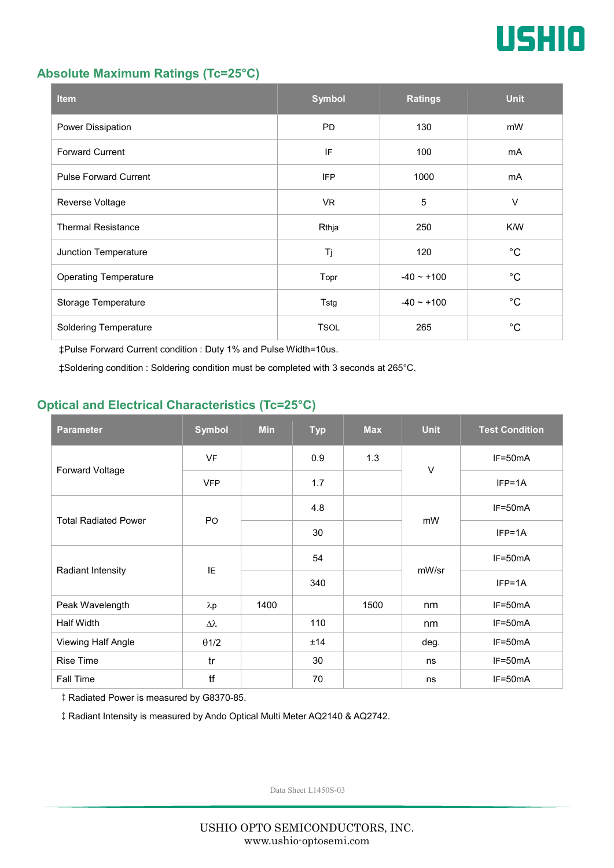

#### **Absolute Maximum Ratings (Tc=25°C)**

| <b>Item</b>                  | <b>Symbol</b> | <b>Ratings</b>  | <b>Unit</b> |
|------------------------------|---------------|-----------------|-------------|
| Power Dissipation            | <b>PD</b>     | 130             | mW          |
| <b>Forward Current</b>       | IF            | 100             | mA          |
| <b>Pulse Forward Current</b> | <b>IFP</b>    | 1000            | mA          |
| Reverse Voltage              | VR.           | $\overline{5}$  | $\vee$      |
| <b>Thermal Resistance</b>    | Rthja         | 250             | K/W         |
| Junction Temperature         | Tj            | 120             | $^{\circ}C$ |
| <b>Operating Temperature</b> | Topr          | $-40 \sim +100$ | $^{\circ}C$ |
| Storage Temperature          | Tstg          | $-40 - +100$    | $^{\circ}C$ |
| <b>Soldering Temperature</b> | <b>TSOL</b>   | 265             | $^{\circ}C$ |

‡Pulse Forward Current condition : Duty 1% and Pulse Width=10us.

‡Soldering condition : Soldering condition must be completed with 3 seconds at 265°C.

### **Optical and Electrical Characteristics (Tc=25°C)**

| <b>Parameter</b>            | <b>Symbol</b>    | <b>Min</b> | <b>Typ</b> | <b>Max</b> | <b>Unit</b> | <b>Test Condition</b> |
|-----------------------------|------------------|------------|------------|------------|-------------|-----------------------|
| Forward Voltage             | <b>VF</b>        |            | 0.9        | 1.3        | $\vee$      | IF=50mA               |
|                             | <b>VFP</b>       |            | 1.7        |            |             | $IFP=1A$              |
| <b>Total Radiated Power</b> | P <sub>O</sub>   |            | 4.8        |            | mW          | $IF=50mA$             |
|                             |                  |            | 30         |            |             | $IFP=1A$              |
| Radiant Intensity           | IE               |            | 54         |            | mW/sr       | $IF=50mA$             |
|                             |                  |            | 340        |            |             | $IFP=1A$              |
| Peak Wavelength             | $\lambda$ p      | 1400       |            | 1500       | nm          | $IF=50mA$             |
| <b>Half Width</b>           | $\Delta \lambda$ |            | 110        |            | nm          | $IF=50mA$             |
| Viewing Half Angle          | $\theta$ 1/2     |            | ±14        |            | deg.        | $IF=50mA$             |
| <b>Rise Time</b>            | tr               |            | 30         |            | ns          | $IF=50mA$             |
| Fall Time                   | tf               |            | 70         |            | ns          | $IF=50mA$             |

‡Radiated Power is measured by G8370-85.

‡Radiant Intensity is measured by Ando Optical Multi Meter AQ2140 & AQ2742.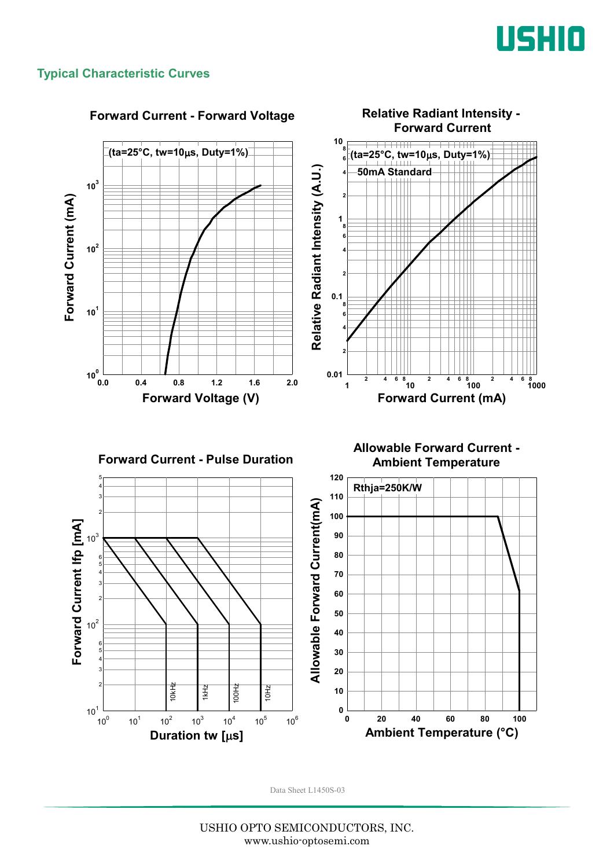

#### **Typical Characteristic Curves**

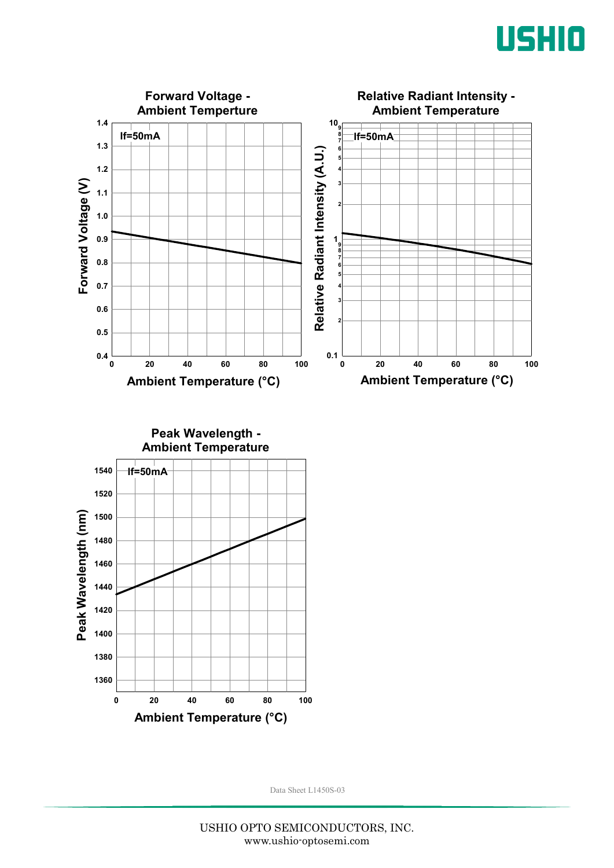



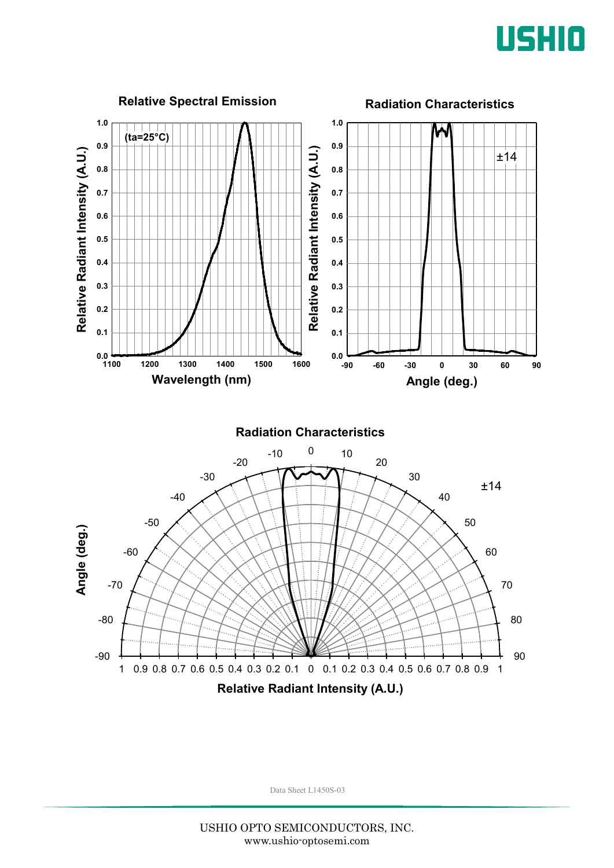